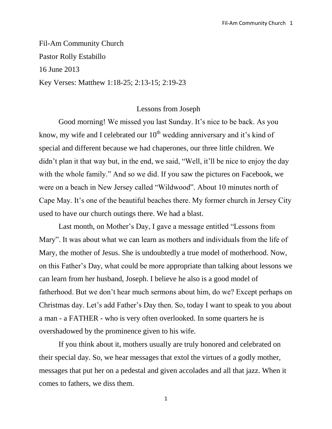Fil-Am Community Church Pastor Rolly Estabillo 16 June 2013 Key Verses: Matthew 1:18-25; 2:13-15; 2:19-23

## Lessons from Joseph

Good morning! We missed you last Sunday. It's nice to be back. As you know, my wife and I celebrated our  $10<sup>th</sup>$  wedding anniversary and it's kind of special and different because we had chaperones, our three little children. We didn't plan it that way but, in the end, we said, "Well, it'll be nice to enjoy the day with the whole family." And so we did. If you saw the pictures on Facebook, we were on a beach in New Jersey called "Wildwood". About 10 minutes north of Cape May. It's one of the beautiful beaches there. My former church in Jersey City used to have our church outings there. We had a blast.

Last month, on Mother's Day, I gave a message entitled "Lessons from Mary". It was about what we can learn as mothers and individuals from the life of Mary, the mother of Jesus. She is undoubtedly a true model of motherhood. Now, on this Father's Day, what could be more appropriate than talking about lessons we can learn from her husband, Joseph. I believe he also is a good model of fatherhood. But we don't hear much sermons about him, do we? Except perhaps on Christmas day. Let's add Father's Day then. So, today I want to speak to you about a man - a FATHER - who is very often overlooked. In some quarters he is overshadowed by the prominence given to his wife.

If you think about it, mothers usually are truly honored and celebrated on their special day. So, we hear messages that extol the virtues of a godly mother, messages that put her on a pedestal and given accolades and all that jazz. When it comes to fathers, we diss them.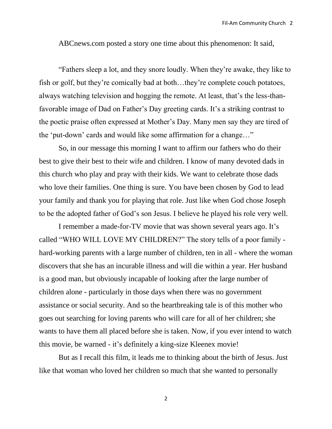ABCnews.com posted a story one time about this phenomenon: It said,

"Fathers sleep a lot, and they snore loudly. When they're awake, they like to fish or golf, but they're comically bad at both…they're complete couch potatoes, always watching television and hogging the remote. At least, that's the less-thanfavorable image of Dad on Father's Day greeting cards. It's a striking contrast to the poetic praise often expressed at Mother's Day. Many men say they are tired of the 'put-down' cards and would like some affirmation for a change…"

So, in our message this morning I want to affirm our fathers who do their best to give their best to their wife and children. I know of many devoted dads in this church who play and pray with their kids. We want to celebrate those dads who love their families. One thing is sure. You have been chosen by God to lead your family and thank you for playing that role. Just like when God chose Joseph to be the adopted father of God's son Jesus. I believe he played his role very well.

I remember a made-for-TV movie that was shown several years ago. It's called "WHO WILL LOVE MY CHILDREN?" The story tells of a poor family hard-working parents with a large number of children, ten in all - where the woman discovers that she has an incurable illness and will die within a year. Her husband is a good man, but obviously incapable of looking after the large number of children alone - particularly in those days when there was no government assistance or social security. And so the heartbreaking tale is of this mother who goes out searching for loving parents who will care for all of her children; she wants to have them all placed before she is taken. Now, if you ever intend to watch this movie, be warned - it's definitely a king-size Kleenex movie!

But as I recall this film, it leads me to thinking about the birth of Jesus. Just like that woman who loved her children so much that she wanted to personally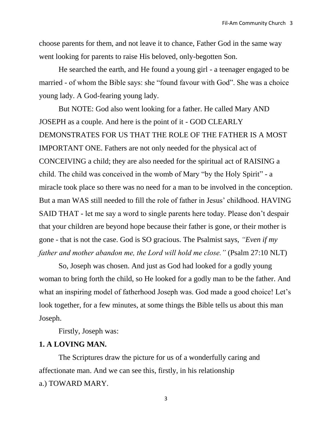choose parents for them, and not leave it to chance, Father God in the same way went looking for parents to raise His beloved, only-begotten Son.

He searched the earth, and He found a young girl - a teenager engaged to be married - of whom the Bible says: she "found favour with God". She was a choice young lady. A God-fearing young lady.

But NOTE: God also went looking for a father. He called Mary AND JOSEPH as a couple. And here is the point of it - GOD CLEARLY DEMONSTRATES FOR US THAT THE ROLE OF THE FATHER IS A MOST IMPORTANT ONE. Fathers are not only needed for the physical act of CONCEIVING a child; they are also needed for the spiritual act of RAISING a child. The child was conceived in the womb of Mary "by the Holy Spirit" - a miracle took place so there was no need for a man to be involved in the conception. But a man WAS still needed to fill the role of father in Jesus' childhood. HAVING SAID THAT - let me say a word to single parents here today. Please don't despair that your children are beyond hope because their father is gone, or their mother is gone - that is not the case. God is SO gracious. The Psalmist says, *"Even if my father and mother abandon me, the Lord will hold me close."* (Psalm 27:10 NLT)

So, Joseph was chosen. And just as God had looked for a godly young woman to bring forth the child, so He looked for a godly man to be the father. And what an inspiring model of fatherhood Joseph was. God made a good choice! Let's look together, for a few minutes, at some things the Bible tells us about this man Joseph.

Firstly, Joseph was:

## **1. A LOVING MAN.**

The Scriptures draw the picture for us of a wonderfully caring and affectionate man. And we can see this, firstly, in his relationship a.) TOWARD MARY.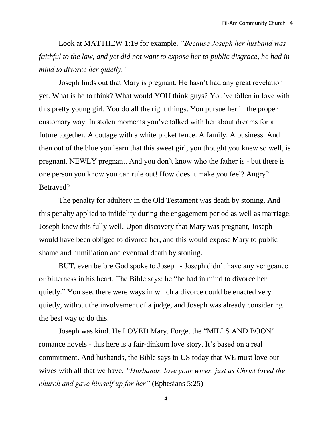Look at MATTHEW 1:19 for example. *"Because Joseph her husband was faithful to the law, and yet did not want to expose her to public disgrace, he had in mind to divorce her quietly."*

Joseph finds out that Mary is pregnant. He hasn't had any great revelation yet. What is he to think? What would YOU think guys? You've fallen in love with this pretty young girl. You do all the right things. You pursue her in the proper customary way. In stolen moments you've talked with her about dreams for a future together. A cottage with a white picket fence. A family. A business. And then out of the blue you learn that this sweet girl, you thought you knew so well, is pregnant. NEWLY pregnant. And you don't know who the father is - but there is one person you know you can rule out! How does it make you feel? Angry? Betrayed?

The penalty for adultery in the Old Testament was death by stoning. And this penalty applied to infidelity during the engagement period as well as marriage. Joseph knew this fully well. Upon discovery that Mary was pregnant, Joseph would have been obliged to divorce her, and this would expose Mary to public shame and humiliation and eventual death by stoning.

BUT, even before God spoke to Joseph - Joseph didn't have any vengeance or bitterness in his heart. The Bible says: he "he had in mind to divorce her quietly." You see, there were ways in which a divorce could be enacted very quietly, without the involvement of a judge, and Joseph was already considering the best way to do this.

Joseph was kind. He LOVED Mary. Forget the "MILLS AND BOON" romance novels - this here is a fair-dinkum love story. It's based on a real commitment. And husbands, the Bible says to US today that WE must love our wives with all that we have. *"Husbands, love your wives, just as Christ loved the church and gave himself up for her"* (Ephesians 5:25)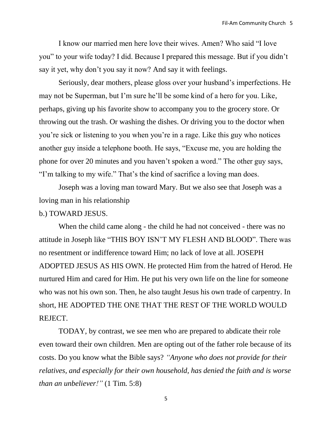I know our married men here love their wives. Amen? Who said "I love you" to your wife today? I did. Because I prepared this message. But if you didn't say it yet, why don't you say it now? And say it with feelings.

Seriously, dear mothers, please gloss over your husband's imperfections. He may not be Superman, but I'm sure he'll be some kind of a hero for you. Like, perhaps, giving up his favorite show to accompany you to the grocery store. Or throwing out the trash. Or washing the dishes. Or driving you to the doctor when you're sick or listening to you when you're in a rage. Like this guy who notices another guy inside a telephone booth. He says, "Excuse me, you are holding the phone for over 20 minutes and you haven't spoken a word." The other guy says, "I'm talking to my wife." That's the kind of sacrifice a loving man does.

Joseph was a loving man toward Mary. But we also see that Joseph was a loving man in his relationship

## b.) TOWARD JESUS.

When the child came along - the child he had not conceived - there was no attitude in Joseph like "THIS BOY ISN'T MY FLESH AND BLOOD". There was no resentment or indifference toward Him; no lack of love at all. JOSEPH ADOPTED JESUS AS HIS OWN. He protected Him from the hatred of Herod. He nurtured Him and cared for Him. He put his very own life on the line for someone who was not his own son. Then, he also taught Jesus his own trade of carpentry. In short, HE ADOPTED THE ONE THAT THE REST OF THE WORLD WOULD REJECT.

TODAY, by contrast, we see men who are prepared to abdicate their role even toward their own children. Men are opting out of the father role because of its costs. Do you know what the Bible says? *"Anyone who does not provide for their relatives, and especially for their own household, has denied the faith and is worse than an unbeliever!"* (1 Tim. 5:8)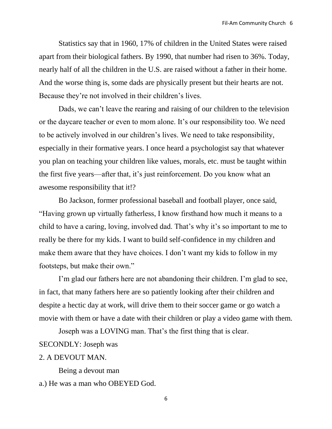Statistics say that in 1960, 17% of children in the United States were raised apart from their biological fathers. By 1990, that number had risen to 36%. Today, nearly half of all the children in the U.S. are raised without a father in their home. And the worse thing is, some dads are physically present but their hearts are not. Because they're not involved in their children's lives.

Dads, we can't leave the rearing and raising of our children to the television or the daycare teacher or even to mom alone. It's our responsibility too. We need to be actively involved in our children's lives. We need to take responsibility, especially in their formative years. I once heard a psychologist say that whatever you plan on teaching your children like values, morals, etc. must be taught within the first five years—after that, it's just reinforcement. Do you know what an awesome responsibility that it!?

Bo Jackson, former professional baseball and football player, once said, "Having grown up virtually fatherless, I know firsthand how much it means to a child to have a caring, loving, involved dad. That's why it's so important to me to really be there for my kids. I want to build self-confidence in my children and make them aware that they have choices. I don't want my kids to follow in my footsteps, but make their own."

I'm glad our fathers here are not abandoning their children. I'm glad to see, in fact, that many fathers here are so patiently looking after their children and despite a hectic day at work, will drive them to their soccer game or go watch a movie with them or have a date with their children or play a video game with them.

Joseph was a LOVING man. That's the first thing that is clear.

SECONDLY: Joseph was

## 2. A DEVOUT MAN.

Being a devout man

a.) He was a man who OBEYED God.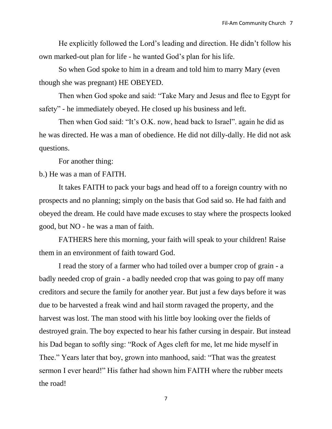He explicitly followed the Lord's leading and direction. He didn't follow his own marked-out plan for life - he wanted God's plan for his life.

So when God spoke to him in a dream and told him to marry Mary (even though she was pregnant) HE OBEYED.

Then when God spoke and said: "Take Mary and Jesus and flee to Egypt for safety" - he immediately obeyed. He closed up his business and left.

Then when God said: "It's O.K. now, head back to Israel". again he did as he was directed. He was a man of obedience. He did not dilly-dally. He did not ask questions.

For another thing:

b.) He was a man of FAITH.

It takes FAITH to pack your bags and head off to a foreign country with no prospects and no planning; simply on the basis that God said so. He had faith and obeyed the dream. He could have made excuses to stay where the prospects looked good, but NO - he was a man of faith.

FATHERS here this morning, your faith will speak to your children! Raise them in an environment of faith toward God.

I read the story of a farmer who had toiled over a bumper crop of grain - a badly needed crop of grain - a badly needed crop that was going to pay off many creditors and secure the family for another year. But just a few days before it was due to be harvested a freak wind and hail storm ravaged the property, and the harvest was lost. The man stood with his little boy looking over the fields of destroyed grain. The boy expected to hear his father cursing in despair. But instead his Dad began to softly sing: "Rock of Ages cleft for me, let me hide myself in Thee." Years later that boy, grown into manhood, said: "That was the greatest sermon I ever heard!" His father had shown him FAITH where the rubber meets the road!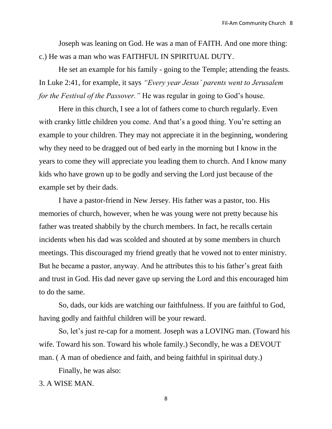Joseph was leaning on God. He was a man of FAITH. And one more thing: c.) He was a man who was FAITHFUL IN SPIRITUAL DUTY.

He set an example for his family - going to the Temple; attending the feasts. In Luke 2:41, for example, it says *"Every year Jesus' parents went to Jerusalem for the Festival of the Passover."* He was regular in going to God's house.

Here in this church, I see a lot of fathers come to church regularly. Even with cranky little children you come. And that's a good thing. You're setting an example to your children. They may not appreciate it in the beginning, wondering why they need to be dragged out of bed early in the morning but I know in the years to come they will appreciate you leading them to church. And I know many kids who have grown up to be godly and serving the Lord just because of the example set by their dads.

I have a pastor-friend in New Jersey. His father was a pastor, too. His memories of church, however, when he was young were not pretty because his father was treated shabbily by the church members. In fact, he recalls certain incidents when his dad was scolded and shouted at by some members in church meetings. This discouraged my friend greatly that he vowed not to enter ministry. But he became a pastor, anyway. And he attributes this to his father's great faith and trust in God. His dad never gave up serving the Lord and this encouraged him to do the same.

So, dads, our kids are watching our faithfulness. If you are faithful to God, having godly and faithful children will be your reward.

So, let's just re-cap for a moment. Joseph was a LOVING man. (Toward his wife. Toward his son. Toward his whole family.) Secondly, he was a DEVOUT man. ( A man of obedience and faith, and being faithful in spiritual duty.)

Finally, he was also:

3. A WISE MAN.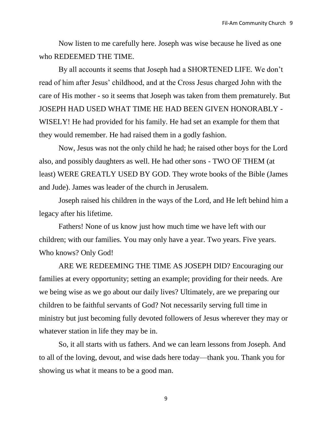Now listen to me carefully here. Joseph was wise because he lived as one who REDEEMED THE TIME.

By all accounts it seems that Joseph had a SHORTENED LIFE. We don't read of him after Jesus' childhood, and at the Cross Jesus charged John with the care of His mother - so it seems that Joseph was taken from them prematurely. But JOSEPH HAD USED WHAT TIME HE HAD BEEN GIVEN HONORABLY - WISELY! He had provided for his family. He had set an example for them that they would remember. He had raised them in a godly fashion.

Now, Jesus was not the only child he had; he raised other boys for the Lord also, and possibly daughters as well. He had other sons - TWO OF THEM (at least) WERE GREATLY USED BY GOD. They wrote books of the Bible (James and Jude). James was leader of the church in Jerusalem.

Joseph raised his children in the ways of the Lord, and He left behind him a legacy after his lifetime.

Fathers! None of us know just how much time we have left with our children; with our families. You may only have a year. Two years. Five years. Who knows? Only God!

ARE WE REDEEMING THE TIME AS JOSEPH DID? Encouraging our families at every opportunity; setting an example; providing for their needs. Are we being wise as we go about our daily lives? Ultimately, are we preparing our children to be faithful servants of God? Not necessarily serving full time in ministry but just becoming fully devoted followers of Jesus wherever they may or whatever station in life they may be in.

So, it all starts with us fathers. And we can learn lessons from Joseph. And to all of the loving, devout, and wise dads here today—thank you. Thank you for showing us what it means to be a good man.